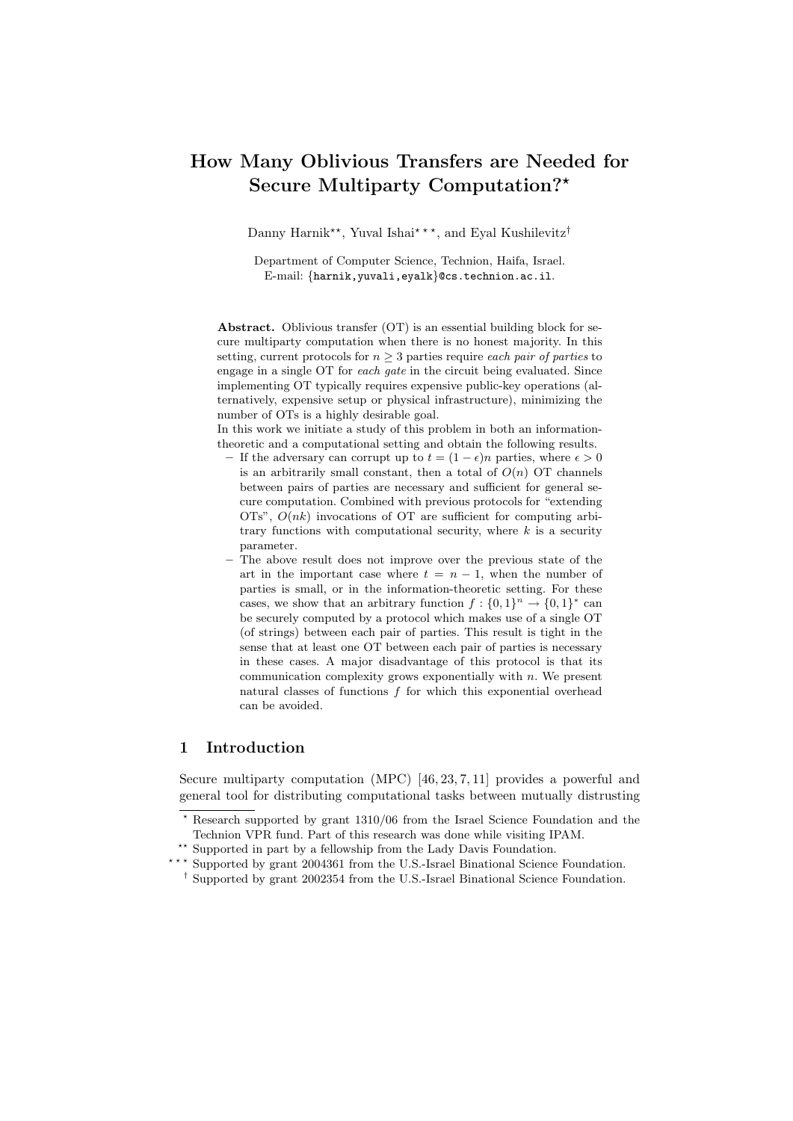# How Many Oblivious Transfers are Needed for Secure Multiparty Computation?\*

Danny Harnik<sup>\*\*</sup>, Yuval Ishai<sup>\*\*\*</sup>, and Eyal Kushilevitz<sup>†</sup>

Department of Computer Science, Technion, Haifa, Israel. E-mail: {harnik,yuvali,eyalk}@cs.technion.ac.il.

Abstract. Oblivious transfer (OT) is an essential building block for secure multiparty computation when there is no honest majority. In this setting, current protocols for  $n \geq 3$  parties require each pair of parties to engage in a single OT for each gate in the circuit being evaluated. Since implementing OT typically requires expensive public-key operations (alternatively, expensive setup or physical infrastructure), minimizing the number of OTs is a highly desirable goal.

In this work we initiate a study of this problem in both an informationtheoretic and a computational setting and obtain the following results.

- If the adversary can corrupt up to  $t = (1 \epsilon)n$  parties, where  $\epsilon > 0$ is an arbitrarily small constant, then a total of  $O(n)$  OT channels between pairs of parties are necessary and sufficient for general secure computation. Combined with previous protocols for "extending OTs",  $O(nk)$  invocations of OT are sufficient for computing arbitrary functions with computational security, where  $k$  is a security parameter.
- The above result does not improve over the previous state of the art in the important case where  $t = n - 1$ , when the number of parties is small, or in the information-theoretic setting. For these cases, we show that an arbitrary function  $f: \{0,1\}^n \to \{0,1\}^*$  can be securely computed by a protocol which makes use of a single OT (of strings) between each pair of parties. This result is tight in the sense that at least one OT between each pair of parties is necessary in these cases. A major disadvantage of this protocol is that its communication complexity grows exponentially with  $n$ . We present natural classes of functions  $f$  for which this exponential overhead can be avoided.

# 1 Introduction

Secure multiparty computation (MPC) [46, 23, 7, 11] provides a powerful and general tool for distributing computational tasks between mutually distrusting

Research supported by grant  $1310/06$  from the Israel Science Foundation and the Technion VPR fund. Part of this research was done while visiting IPAM.

<sup>\*\*</sup> Supported in part by a fellowship from the Lady Davis Foundation.

<sup>\*\*\*</sup> Supported by grant 2004361 from the U.S.-Israel Binational Science Foundation.

<sup>†</sup> Supported by grant 2002354 from the U.S.-Israel Binational Science Foundation.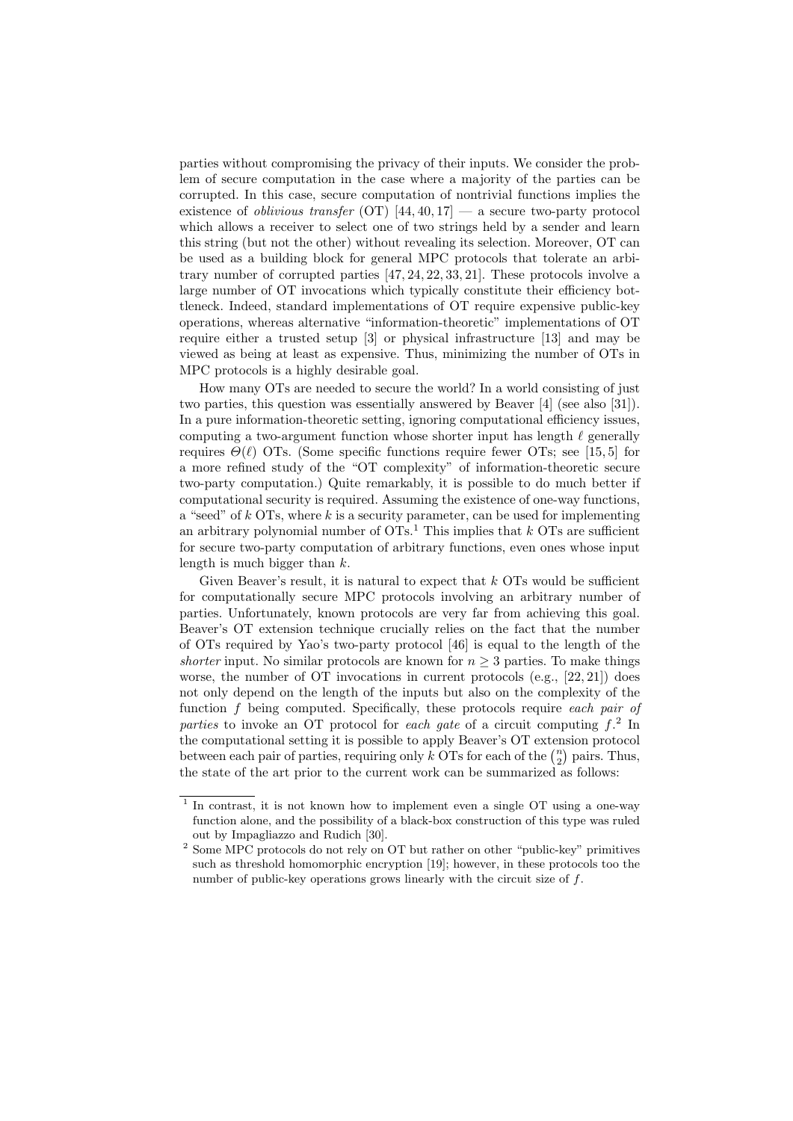parties without compromising the privacy of their inputs. We consider the problem of secure computation in the case where a majority of the parties can be corrupted. In this case, secure computation of nontrivial functions implies the existence of *oblivious transfer* (OT)  $[44, 40, 17]$  — a secure two-party protocol which allows a receiver to select one of two strings held by a sender and learn this string (but not the other) without revealing its selection. Moreover, OT can be used as a building block for general MPC protocols that tolerate an arbitrary number of corrupted parties [47, 24, 22, 33, 21]. These protocols involve a large number of OT invocations which typically constitute their efficiency bottleneck. Indeed, standard implementations of OT require expensive public-key operations, whereas alternative "information-theoretic" implementations of OT require either a trusted setup [3] or physical infrastructure [13] and may be viewed as being at least as expensive. Thus, minimizing the number of OTs in MPC protocols is a highly desirable goal.

How many OTs are needed to secure the world? In a world consisting of just two parties, this question was essentially answered by Beaver [4] (see also [31]). In a pure information-theoretic setting, ignoring computational efficiency issues, computing a two-argument function whose shorter input has length  $\ell$  generally requires  $\Theta(\ell)$  OTs. (Some specific functions require fewer OTs; see [15, 5] for a more refined study of the "OT complexity" of information-theoretic secure two-party computation.) Quite remarkably, it is possible to do much better if computational security is required. Assuming the existence of one-way functions, a "seed" of  $k$  OTs, where  $k$  is a security parameter, can be used for implementing an arbitrary polynomial number of  $\text{OTs}.<sup>1</sup>$  This implies that  $k$  OTs are sufficient for secure two-party computation of arbitrary functions, even ones whose input length is much bigger than  $k$ .

Given Beaver's result, it is natural to expect that  $k$  OTs would be sufficient for computationally secure MPC protocols involving an arbitrary number of parties. Unfortunately, known protocols are very far from achieving this goal. Beaver's OT extension technique crucially relies on the fact that the number of OTs required by Yao's two-party protocol [46] is equal to the length of the shorter input. No similar protocols are known for  $n \geq 3$  parties. To make things worse, the number of OT invocations in current protocols (e.g., [22, 21]) does not only depend on the length of the inputs but also on the complexity of the function  $f$  being computed. Specifically, these protocols require each pair of parties to invoke an OT protocol for each gate of a circuit computing  $f^2$ . In the computational setting it is possible to apply Beaver's OT extension protocol between each pair of parties, requiring only k OTs for each of the  $\binom{n}{2}$  pairs. Thus, the state of the art prior to the current work can be summarized as follows:

<sup>&</sup>lt;sup>1</sup> In contrast, it is not known how to implement even a single OT using a one-way function alone, and the possibility of a black-box construction of this type was ruled out by Impagliazzo and Rudich [30].

<sup>2</sup> Some MPC protocols do not rely on OT but rather on other "public-key" primitives such as threshold homomorphic encryption [19]; however, in these protocols too the number of public-key operations grows linearly with the circuit size of f.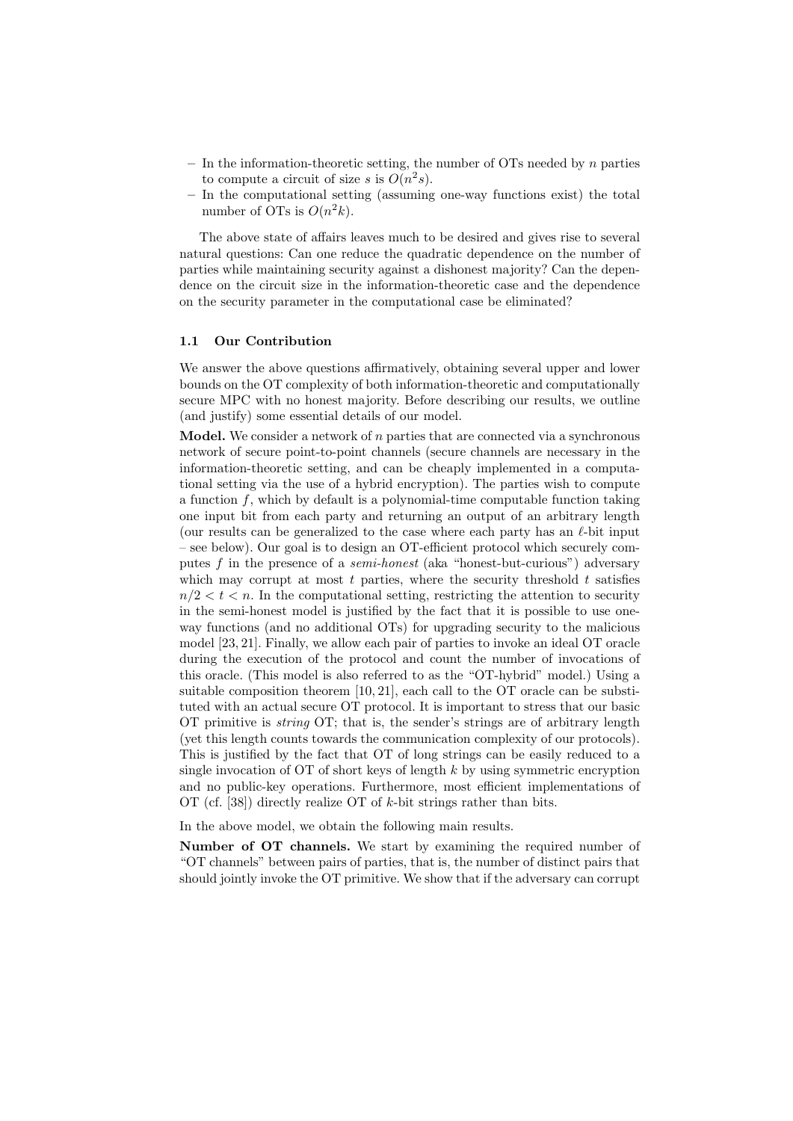- $-$  In the information-theoretic setting, the number of OTs needed by n parties to compute a circuit of size s is  $O(n^2s)$ .
- In the computational setting (assuming one-way functions exist) the total number of OTs is  $O(n^2k)$ .

The above state of affairs leaves much to be desired and gives rise to several natural questions: Can one reduce the quadratic dependence on the number of parties while maintaining security against a dishonest majority? Can the dependence on the circuit size in the information-theoretic case and the dependence on the security parameter in the computational case be eliminated?

#### 1.1 Our Contribution

We answer the above questions affirmatively, obtaining several upper and lower bounds on the OT complexity of both information-theoretic and computationally secure MPC with no honest majority. Before describing our results, we outline (and justify) some essential details of our model.

**Model.** We consider a network of n parties that are connected via a synchronous network of secure point-to-point channels (secure channels are necessary in the information-theoretic setting, and can be cheaply implemented in a computational setting via the use of a hybrid encryption). The parties wish to compute a function  $f$ , which by default is a polynomial-time computable function taking one input bit from each party and returning an output of an arbitrary length (our results can be generalized to the case where each party has an  $\ell$ -bit input – see below). Our goal is to design an OT-efficient protocol which securely computes f in the presence of a semi-honest (aka "honest-but-curious") adversary which may corrupt at most  $t$  parties, where the security threshold  $t$  satisfies  $n/2 < t < n$ . In the computational setting, restricting the attention to security in the semi-honest model is justified by the fact that it is possible to use oneway functions (and no additional OTs) for upgrading security to the malicious model [23, 21]. Finally, we allow each pair of parties to invoke an ideal OT oracle during the execution of the protocol and count the number of invocations of this oracle. (This model is also referred to as the "OT-hybrid" model.) Using a suitable composition theorem [10, 21], each call to the OT oracle can be substituted with an actual secure OT protocol. It is important to stress that our basic OT primitive is string OT; that is, the sender's strings are of arbitrary length (yet this length counts towards the communication complexity of our protocols). This is justified by the fact that OT of long strings can be easily reduced to a single invocation of  $\overline{OT}$  of short keys of length k by using symmetric encryption and no public-key operations. Furthermore, most efficient implementations of OT (cf. [38]) directly realize OT of  $k$ -bit strings rather than bits.

In the above model, we obtain the following main results.

Number of OT channels. We start by examining the required number of "OT channels" between pairs of parties, that is, the number of distinct pairs that should jointly invoke the OT primitive. We show that if the adversary can corrupt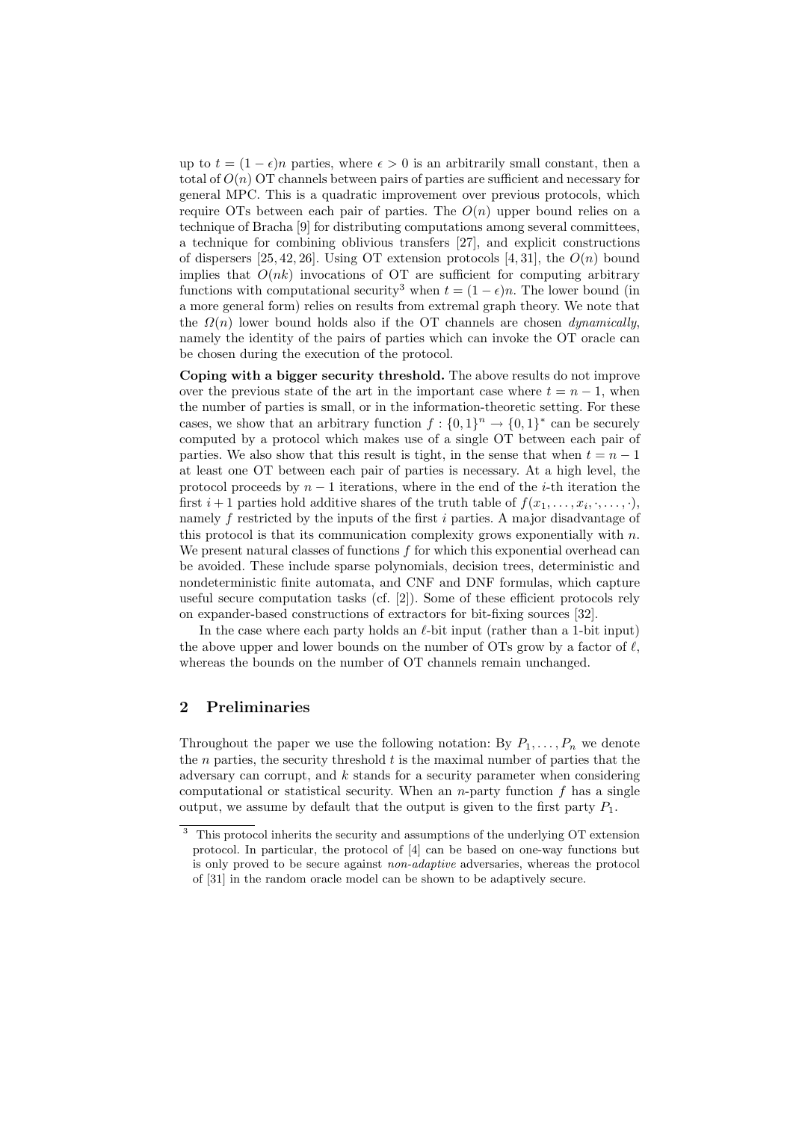up to  $t = (1 - \epsilon)n$  parties, where  $\epsilon > 0$  is an arbitrarily small constant, then a total of  $O(n)$  OT channels between pairs of parties are sufficient and necessary for general MPC. This is a quadratic improvement over previous protocols, which require OTs between each pair of parties. The  $O(n)$  upper bound relies on a technique of Bracha [9] for distributing computations among several committees, a technique for combining oblivious transfers [27], and explicit constructions of dispersers [25, 42, 26]. Using OT extension protocols [4, 31], the  $O(n)$  bound implies that  $O(nk)$  invocations of OT are sufficient for computing arbitrary functions with computational security<sup>3</sup> when  $t = (1 - \epsilon)n$ . The lower bound (in a more general form) relies on results from extremal graph theory. We note that the  $\Omega(n)$  lower bound holds also if the OT channels are chosen *dynamically*, namely the identity of the pairs of parties which can invoke the OT oracle can be chosen during the execution of the protocol.

Coping with a bigger security threshold. The above results do not improve over the previous state of the art in the important case where  $t = n - 1$ , when the number of parties is small, or in the information-theoretic setting. For these cases, we show that an arbitrary function  $f: \{0,1\}^n \to \{0,1\}^*$  can be securely computed by a protocol which makes use of a single OT between each pair of parties. We also show that this result is tight, in the sense that when  $t = n - 1$ at least one OT between each pair of parties is necessary. At a high level, the protocol proceeds by  $n - 1$  iterations, where in the end of the *i*-th iteration the first  $i+1$  parties hold additive shares of the truth table of  $f(x_1, \ldots, x_i, \cdot, \ldots, \cdot)$ , namely f restricted by the inputs of the first  $i$  parties. A major disadvantage of this protocol is that its communication complexity grows exponentially with  $n$ . We present natural classes of functions  $f$  for which this exponential overhead can be avoided. These include sparse polynomials, decision trees, deterministic and nondeterministic finite automata, and CNF and DNF formulas, which capture useful secure computation tasks (cf. [2]). Some of these efficient protocols rely on expander-based constructions of extractors for bit-fixing sources [32].

In the case where each party holds an  $\ell$ -bit input (rather than a 1-bit input) the above upper and lower bounds on the number of OTs grow by a factor of  $\ell$ , whereas the bounds on the number of OT channels remain unchanged.

# 2 Preliminaries

Throughout the paper we use the following notation: By  $P_1, \ldots, P_n$  we denote the  $n$  parties, the security threshold  $t$  is the maximal number of parties that the adversary can corrupt, and  $k$  stands for a security parameter when considering computational or statistical security. When an  $n$ -party function  $f$  has a single output, we assume by default that the output is given to the first party  $P_1$ .

<sup>3</sup> This protocol inherits the security and assumptions of the underlying OT extension protocol. In particular, the protocol of [4] can be based on one-way functions but is only proved to be secure against non-adaptive adversaries, whereas the protocol of [31] in the random oracle model can be shown to be adaptively secure.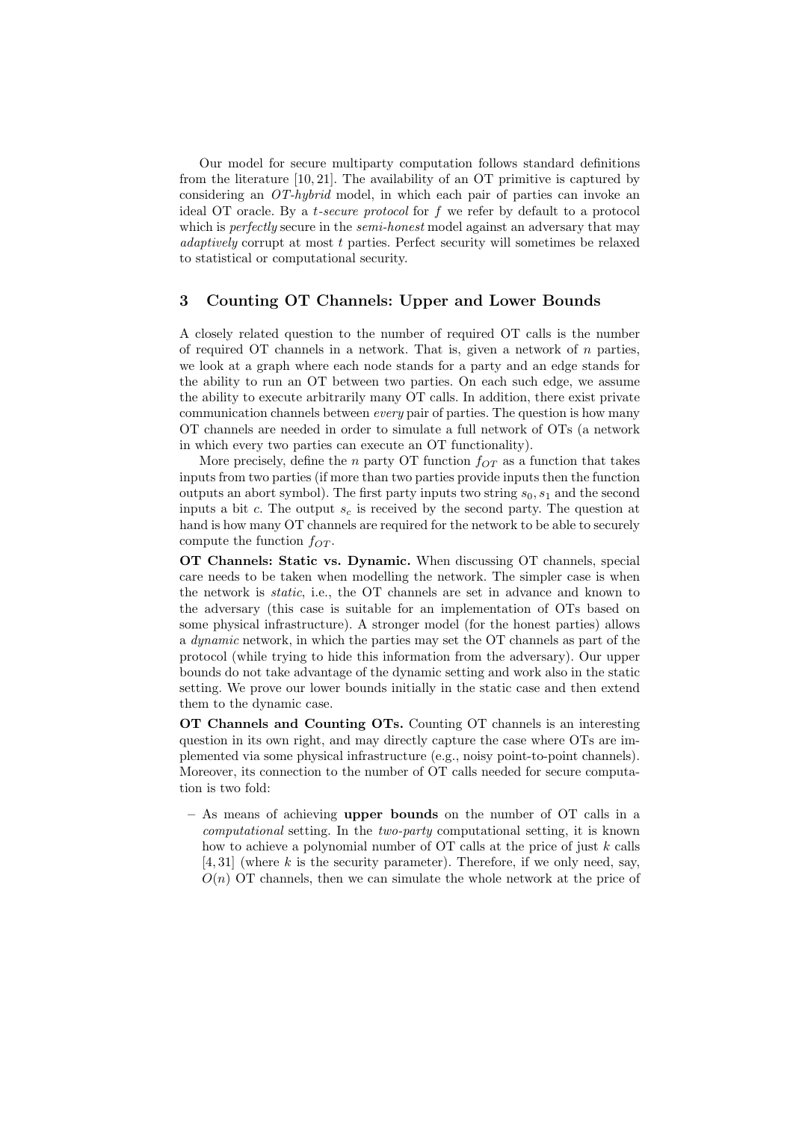Our model for secure multiparty computation follows standard definitions from the literature [10, 21]. The availability of an OT primitive is captured by considering an OT-hybrid model, in which each pair of parties can invoke an ideal OT oracle. By a t-secure protocol for f we refer by default to a protocol which is *perfectly* secure in the *semi-honest* model against an adversary that may adaptively corrupt at most t parties. Perfect security will sometimes be relaxed to statistical or computational security.

## 3 Counting OT Channels: Upper and Lower Bounds

A closely related question to the number of required OT calls is the number of required OT channels in a network. That is, given a network of  $n$  parties, we look at a graph where each node stands for a party and an edge stands for the ability to run an OT between two parties. On each such edge, we assume the ability to execute arbitrarily many OT calls. In addition, there exist private communication channels between every pair of parties. The question is how many OT channels are needed in order to simulate a full network of OTs (a network in which every two parties can execute an OT functionality).

More precisely, define the n party OT function  $f_{OT}$  as a function that takes inputs from two parties (if more than two parties provide inputs then the function outputs an abort symbol). The first party inputs two string  $s_0, s_1$  and the second inputs a bit c. The output  $s_c$  is received by the second party. The question at hand is how many OT channels are required for the network to be able to securely compute the function  $f_{OT}$ .

OT Channels: Static vs. Dynamic. When discussing OT channels, special care needs to be taken when modelling the network. The simpler case is when the network is static, i.e., the OT channels are set in advance and known to the adversary (this case is suitable for an implementation of OTs based on some physical infrastructure). A stronger model (for the honest parties) allows a dynamic network, in which the parties may set the OT channels as part of the protocol (while trying to hide this information from the adversary). Our upper bounds do not take advantage of the dynamic setting and work also in the static setting. We prove our lower bounds initially in the static case and then extend them to the dynamic case.

OT Channels and Counting OTs. Counting OT channels is an interesting question in its own right, and may directly capture the case where OTs are implemented via some physical infrastructure (e.g., noisy point-to-point channels). Moreover, its connection to the number of OT calls needed for secure computation is two fold:

– As means of achieving upper bounds on the number of OT calls in a computational setting. In the two-party computational setting, it is known how to achieve a polynomial number of  $\overline{OT}$  calls at the price of just k calls  $[4, 31]$  (where k is the security parameter). Therefore, if we only need, say,  $O(n)$  OT channels, then we can simulate the whole network at the price of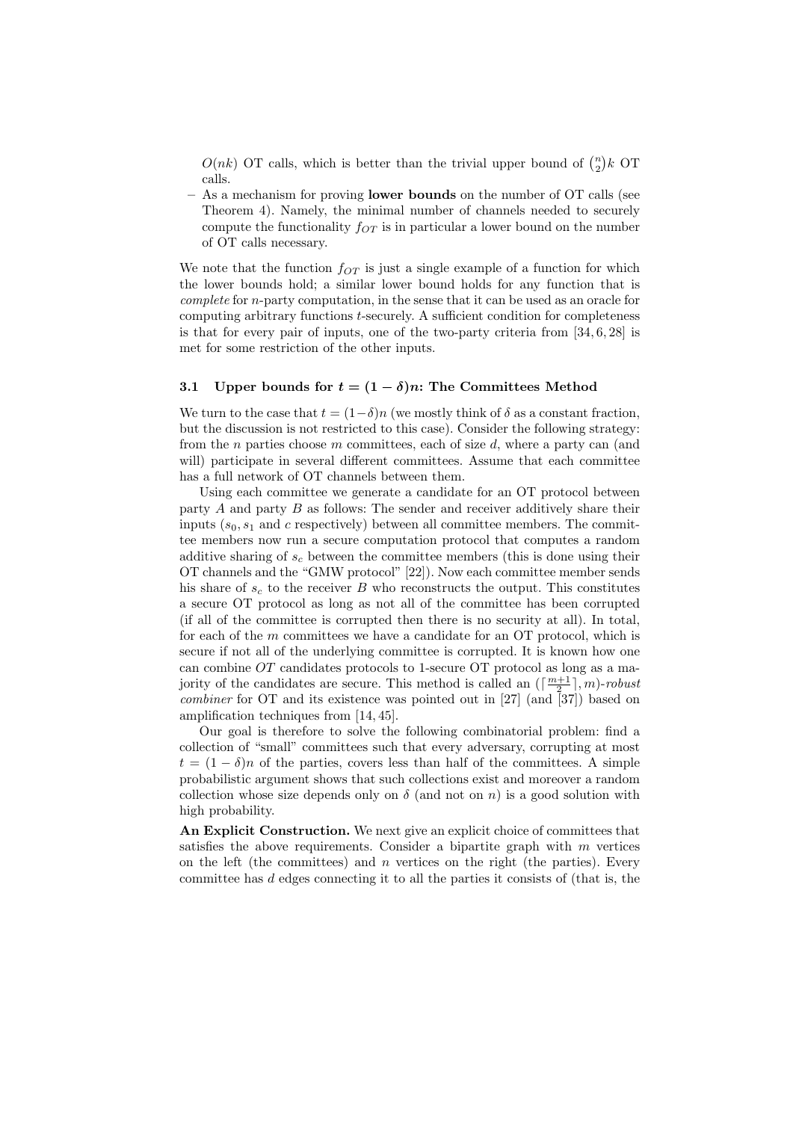$O(nk)$  OT calls, which is better than the trivial upper bound of  $\binom{n}{2}k$  OT calls.

– As a mechanism for proving lower bounds on the number of OT calls (see Theorem 4). Namely, the minimal number of channels needed to securely compute the functionality  $f_{OT}$  is in particular a lower bound on the number of OT calls necessary.

We note that the function  $f_{OT}$  is just a single example of a function for which the lower bounds hold; a similar lower bound holds for any function that is complete for n-party computation, in the sense that it can be used as an oracle for computing arbitrary functions t-securely. A sufficient condition for completeness is that for every pair of inputs, one of the two-party criteria from [34, 6, 28] is met for some restriction of the other inputs.

## 3.1 Upper bounds for  $t = (1 - \delta)n$ : The Committees Method

We turn to the case that  $t = (1-\delta)n$  (we mostly think of  $\delta$  as a constant fraction, but the discussion is not restricted to this case). Consider the following strategy: from the *n* parties choose  $m$  committees, each of size  $d$ , where a party can (and will) participate in several different committees. Assume that each committee has a full network of OT channels between them.

Using each committee we generate a candidate for an OT protocol between party  $A$  and party  $B$  as follows: The sender and receiver additively share their inputs  $(s_0, s_1$  and c respectively) between all committee members. The committee members now run a secure computation protocol that computes a random additive sharing of  $s_c$  between the committee members (this is done using their OT channels and the "GMW protocol" [22]). Now each committee member sends his share of  $s_c$  to the receiver  $B$  who reconstructs the output. This constitutes a secure OT protocol as long as not all of the committee has been corrupted (if all of the committee is corrupted then there is no security at all). In total, for each of the  $m$  committees we have a candidate for an  $\overline{OT}$  protocol, which is secure if not all of the underlying committee is corrupted. It is known how one can combine OT candidates protocols to 1-secure OT protocol as long as a majority of the candidates are secure. This method is called an  $(\lceil \frac{m+1}{2} \rceil, m)$ -robust *combiner* for OT and its existence was pointed out in [27] (and  $\overline{37}$ ) based on amplification techniques from [14, 45].

Our goal is therefore to solve the following combinatorial problem: find a collection of "small" committees such that every adversary, corrupting at most  $t = (1 - \delta)n$  of the parties, covers less than half of the committees. A simple probabilistic argument shows that such collections exist and moreover a random collection whose size depends only on  $\delta$  (and not on n) is a good solution with high probability.

An Explicit Construction. We next give an explicit choice of committees that satisfies the above requirements. Consider a bipartite graph with  $m$  vertices on the left (the committees) and n vertices on the right (the parties). Every committee has d edges connecting it to all the parties it consists of (that is, the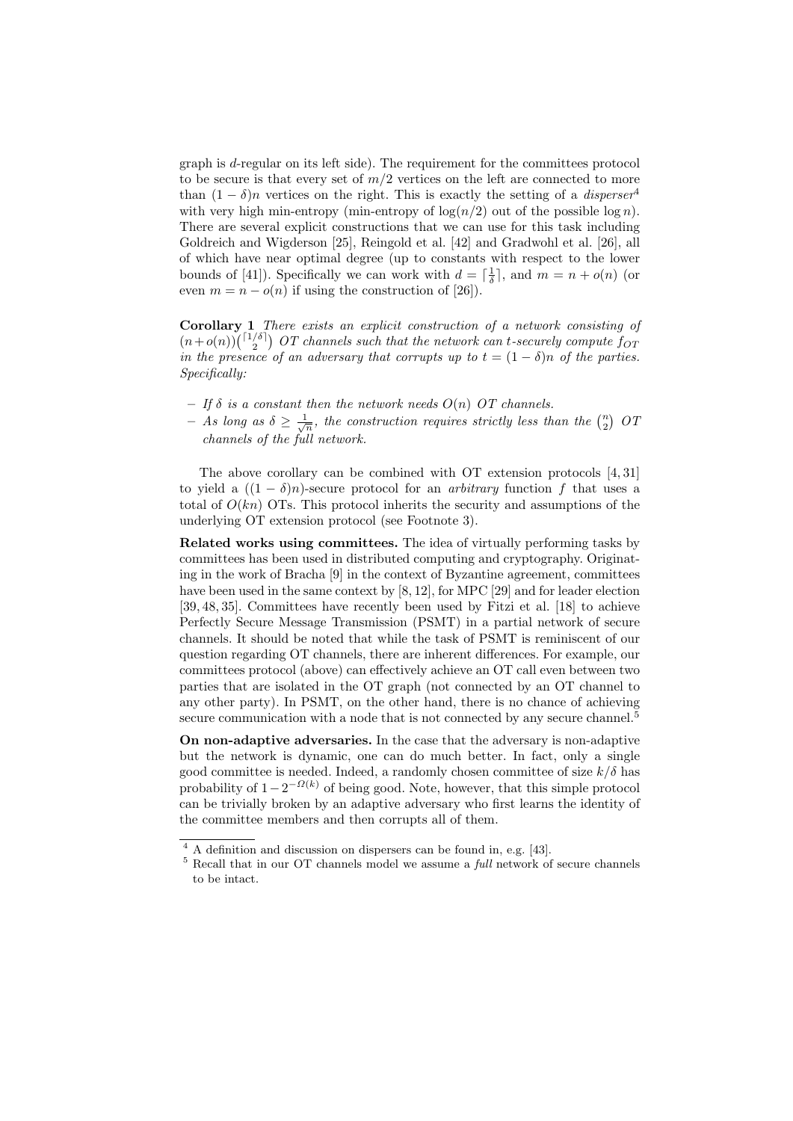graph is d-regular on its left side). The requirement for the committees protocol to be secure is that every set of  $m/2$  vertices on the left are connected to more than  $(1 - \delta)n$  vertices on the right. This is exactly the setting of a *disperser*<sup>4</sup> with very high min-entropy (min-entropy of  $\log(n/2)$  out of the possible  $\log n$ ). There are several explicit constructions that we can use for this task including Goldreich and Wigderson [25], Reingold et al. [42] and Gradwohl et al. [26], all of which have near optimal degree (up to constants with respect to the lower bounds of [41]). Specifically we can work with  $d = \lceil \frac{1}{\delta} \rceil$ , and  $m = n + o(n)$  (or even  $m = n - o(n)$  if using the construction of [26]).

Corollary 1 There exists an explicit construction of a network consisting of  $(n+o(n))$  $\binom{\lceil 1/\delta \rceil}{2}$  OT channels such that the network can t-securely compute for in the presence of an adversary that corrupts up to  $t = (1 - \delta)n$  of the parties. Specifically:

- If  $\delta$  is a constant then the network needs  $O(n)$  OT channels.
- $-$  As long as  $\delta \geq \frac{1}{\sqrt{n}}$ , the construction requires strictly less than the  $\binom{n}{2}$  OT channels of the full network.

The above corollary can be combined with OT extension protocols [4, 31] to yield a  $((1 - \delta)n)$ -secure protocol for an *arbitrary* function f that uses a total of  $O(kn)$  OTs. This protocol inherits the security and assumptions of the underlying OT extension protocol (see Footnote 3).

Related works using committees. The idea of virtually performing tasks by committees has been used in distributed computing and cryptography. Originating in the work of Bracha [9] in the context of Byzantine agreement, committees have been used in the same context by [8, 12], for MPC [29] and for leader election [39, 48, 35]. Committees have recently been used by Fitzi et al. [18] to achieve Perfectly Secure Message Transmission (PSMT) in a partial network of secure channels. It should be noted that while the task of PSMT is reminiscent of our question regarding OT channels, there are inherent differences. For example, our committees protocol (above) can effectively achieve an OT call even between two parties that are isolated in the OT graph (not connected by an OT channel to any other party). In PSMT, on the other hand, there is no chance of achieving secure communication with a node that is not connected by any secure channel.<sup>5</sup>

On non-adaptive adversaries. In the case that the adversary is non-adaptive but the network is dynamic, one can do much better. In fact, only a single good committee is needed. Indeed, a randomly chosen committee of size  $k/\delta$  has probability of  $1-2^{-\Omega(k)}$  of being good. Note, however, that this simple protocol can be trivially broken by an adaptive adversary who first learns the identity of the committee members and then corrupts all of them.

<sup>4</sup> A definition and discussion on dispersers can be found in, e.g. [43].

 $5$  Recall that in our OT channels model we assume a  $full$  network of secure channels to be intact.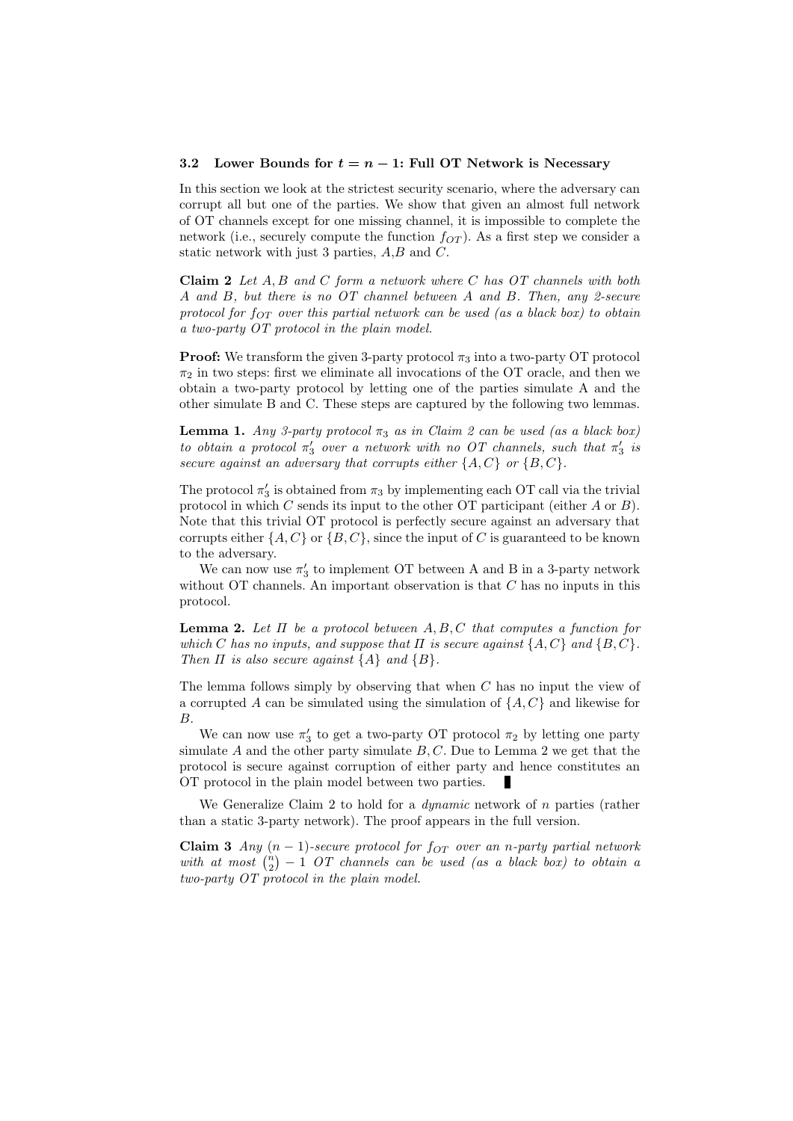#### 3.2 Lower Bounds for  $t = n - 1$ : Full OT Network is Necessary

In this section we look at the strictest security scenario, where the adversary can corrupt all but one of the parties. We show that given an almost full network of OT channels except for one missing channel, it is impossible to complete the network (i.e., securely compute the function  $f_{OT}$ ). As a first step we consider a static network with just 3 parties,  $A, B$  and  $C$ .

**Claim 2** Let  $A, B$  and  $C$  form a network where  $C$  has  $OT$  channels with both A and B, but there is no OT channel between A and B. Then, any 2-secure protocol for  $f_{OT}$  over this partial network can be used (as a black box) to obtain a two-party OT protocol in the plain model.

**Proof:** We transform the given 3-party protocol  $\pi_3$  into a two-party OT protocol  $\pi_2$  in two steps: first we eliminate all invocations of the OT oracle, and then we obtain a two-party protocol by letting one of the parties simulate A and the other simulate B and C. These steps are captured by the following two lemmas.

**Lemma 1.** Any 3-party protocol  $\pi_3$  as in Claim 2 can be used (as a black box) to obtain a protocol  $\pi'_3$  over a network with no OT channels, such that  $\pi'_3$  is secure against an adversary that corrupts either  $\{A, C\}$  or  $\{B, C\}$ .

The protocol  $\pi'_3$  is obtained from  $\pi_3$  by implementing each OT call via the trivial protocol in which  $C$  sends its input to the other OT participant (either  $A$  or  $B$ ). Note that this trivial OT protocol is perfectly secure against an adversary that corrupts either  $\{A, C\}$  or  $\{B, C\}$ , since the input of C is guaranteed to be known to the adversary.

We can now use  $\pi'_3$  to implement OT between A and B in a 3-party network without OT channels. An important observation is that  $C$  has no inputs in this protocol.

**Lemma 2.** Let  $\Pi$  be a protocol between  $A, B, C$  that computes a function for which C has no inputs, and suppose that  $\Pi$  is secure against  $\{A, C\}$  and  $\{B, C\}$ . Then  $\Pi$  is also secure against  $\{A\}$  and  $\{B\}$ .

The lemma follows simply by observing that when C has no input the view of a corrupted A can be simulated using the simulation of  $\{A, C\}$  and likewise for B.

We can now use  $\pi'_3$  to get a two-party OT protocol  $\pi_2$  by letting one party simulate  $A$  and the other party simulate  $B, C$ . Due to Lemma 2 we get that the protocol is secure against corruption of either party and hence constitutes an OT protocol in the plain model between two parties.

We Generalize Claim 2 to hold for a *dynamic* network of n parties (rather than a static 3-party network). The proof appears in the full version.

Claim 3 Any  $(n-1)$ -secure protocol for  $f_{OT}$  over an n-party partial network with at most  $\binom{n}{2} - 1$  OT channels can be used (as a black box) to obtain a two-party OT protocol in the plain model.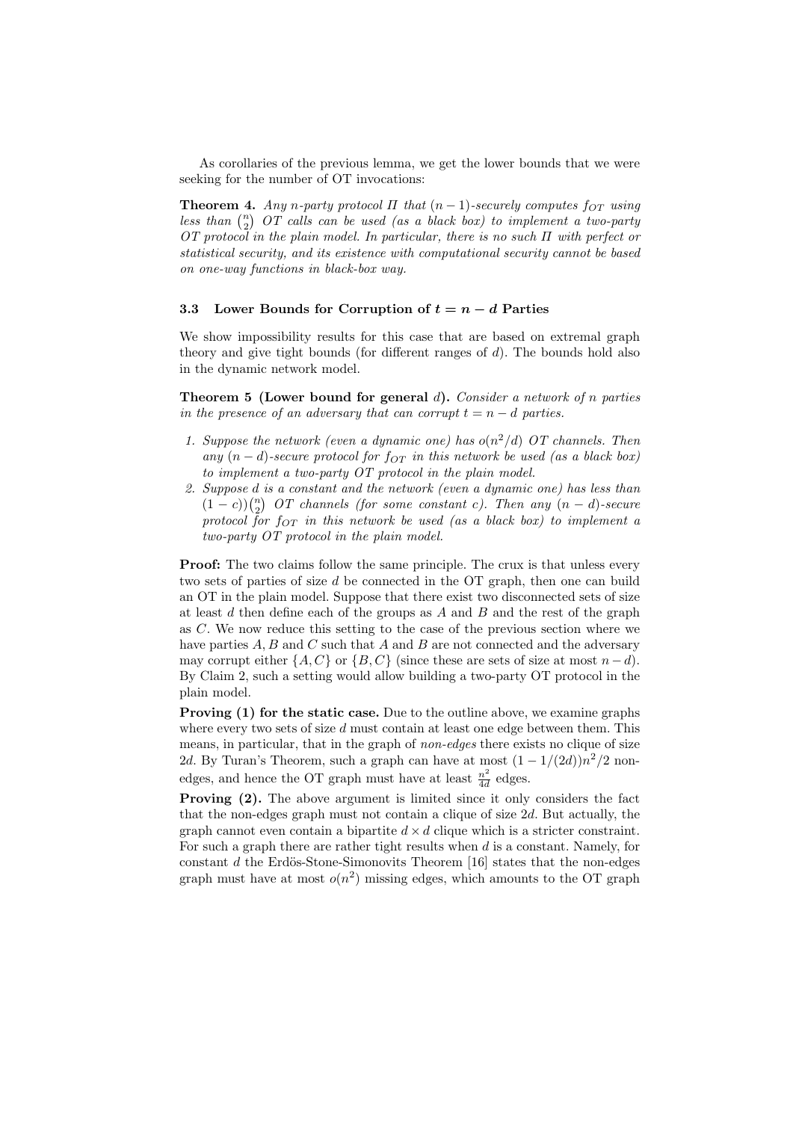As corollaries of the previous lemma, we get the lower bounds that we were seeking for the number of OT invocations:

**Theorem 4.** Any n-party protocol  $\Pi$  that  $(n-1)$ -securely computes  $f_{OT}$  using less than  $\binom{n}{2}$  OT calls can be used (as a black box) to implement a two-party OT protocol in the plain model. In particular, there is no such  $\Pi$  with perfect or statistical security, and its existence with computational security cannot be based on one-way functions in black-box way.

### 3.3 Lower Bounds for Corruption of  $t = n - d$  Parties

We show impossibility results for this case that are based on extremal graph theory and give tight bounds (for different ranges of d). The bounds hold also in the dynamic network model.

**Theorem 5 (Lower bound for general d).** Consider a network of n parties in the presence of an adversary that can corrupt  $t = n - d$  parties.

- 1. Suppose the network (even a dynamic one) has  $o(n^2/d)$  OT channels. Then any  $(n-d)$ -secure protocol for  $f_{OT}$  in this network be used (as a black box) to implement a two-party OT protocol in the plain model.
- 2. Suppose d is a constant and the network (even a dynamic one) has less than  $(1 - c)\binom{n}{2}$  OT channels (for some constant c). Then any  $(n - d)$ -secure protocol for  $f_{OT}$  in this network be used (as a black box) to implement a two-party OT protocol in the plain model.

**Proof:** The two claims follow the same principle. The crux is that unless every two sets of parties of size d be connected in the OT graph, then one can build an OT in the plain model. Suppose that there exist two disconnected sets of size at least d then define each of the groups as  $A$  and  $B$  and the rest of the graph as C. We now reduce this setting to the case of the previous section where we have parties  $A, B$  and  $C$  such that  $A$  and  $B$  are not connected and the adversary may corrupt either  $\{A, C\}$  or  $\{B, C\}$  (since these are sets of size at most  $n - d$ ). By Claim 2, such a setting would allow building a two-party OT protocol in the plain model.

Proving  $(1)$  for the static case. Due to the outline above, we examine graphs where every two sets of size  $d$  must contain at least one edge between them. This means, in particular, that in the graph of non-edges there exists no clique of size 2d. By Turan's Theorem, such a graph can have at most  $(1 - 1/(2d))n^2/2$  nonedges, and hence the OT graph must have at least  $\frac{n^2}{4d}$  $rac{n^2}{4d}$  edges.

Proving  $(2)$ . The above argument is limited since it only considers the fact that the non-edges graph must not contain a clique of size  $2d$ . But actually, the graph cannot even contain a bipartite  $d \times d$  clique which is a stricter constraint. For such a graph there are rather tight results when d is a constant. Namely, for constant d the Erdös-Stone-Simonovits Theorem [16] states that the non-edges graph must have at most  $o(n^2)$  missing edges, which amounts to the OT graph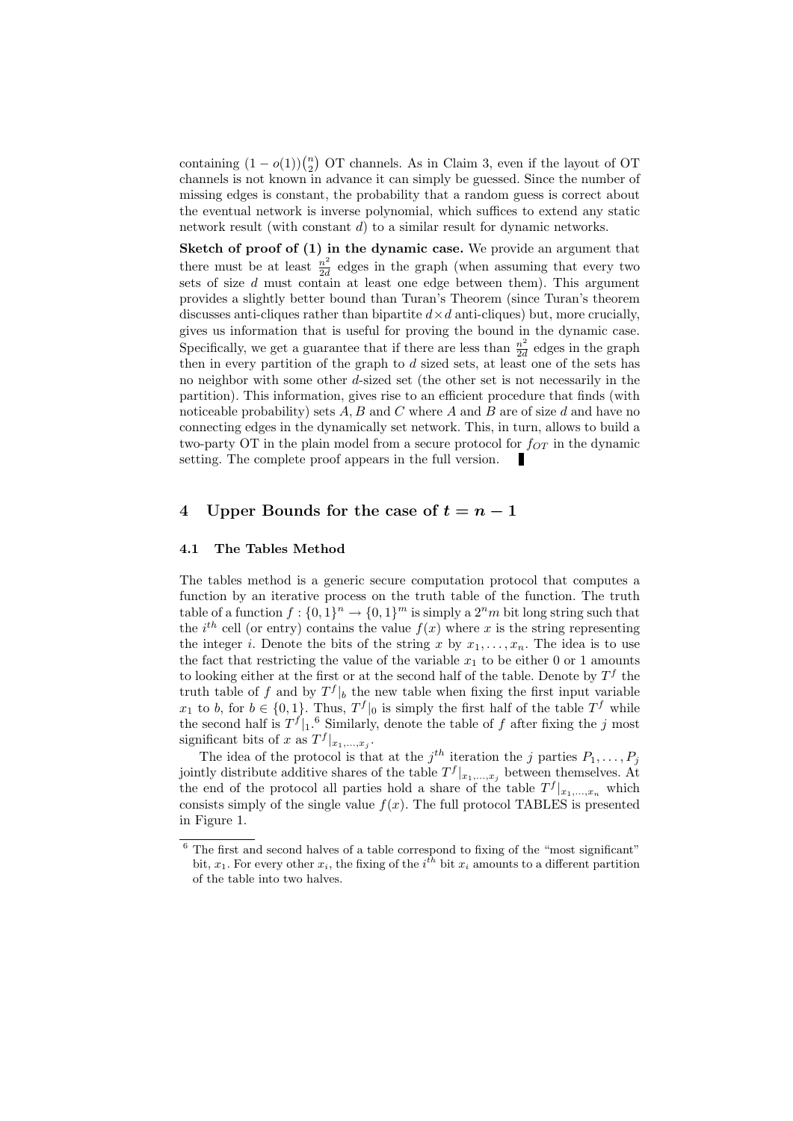containing  $(1 - o(1))\binom{n}{2}$  OT channels. As in Claim 3, even if the layout of OT channels is not known in advance it can simply be guessed. Since the number of missing edges is constant, the probability that a random guess is correct about the eventual network is inverse polynomial, which suffices to extend any static network result (with constant d) to a similar result for dynamic networks.

Sketch of proof of  $(1)$  in the dynamic case. We provide an argument that there must be at least  $\frac{n^2}{2d}$  $\frac{n^2}{2d}$  edges in the graph (when assuming that every two sets of size  $d$  must contain at least one edge between them). This argument provides a slightly better bound than Turan's Theorem (since Turan's theorem discusses anti-cliques rather than bipartite  $d \times d$  anti-cliques) but, more crucially, gives us information that is useful for proving the bound in the dynamic case. Specifically, we get a guarantee that if there are less than  $\frac{n^2}{2d}$  $\frac{n^2}{2d}$  edges in the graph then in every partition of the graph to  $d$  sized sets, at least one of the sets has no neighbor with some other d-sized set (the other set is not necessarily in the partition). This information, gives rise to an efficient procedure that finds (with noticeable probability) sets  $A, B$  and  $C$  where  $A$  and  $B$  are of size  $d$  and have no connecting edges in the dynamically set network. This, in turn, allows to build a two-party OT in the plain model from a secure protocol for  $f_{OT}$  in the dynamic setting. The complete proof appears in the full version.

# 4 Upper Bounds for the case of  $t = n - 1$

### 4.1 The Tables Method

The tables method is a generic secure computation protocol that computes a function by an iterative process on the truth table of the function. The truth table of a function  $f: \{0,1\}^n \to \{0,1\}^m$  is simply a  $2^n m$  bit long string such that the i<sup>th</sup> cell (or entry) contains the value  $f(x)$  where x is the string representing the integer i. Denote the bits of the string x by  $x_1, \ldots, x_n$ . The idea is to use the fact that restricting the value of the variable  $x_1$  to be either 0 or 1 amounts to looking either at the first or at the second half of the table. Denote by  $T<sup>f</sup>$  the truth table of f and by  $T<sup>f</sup>|_b$  the new table when fixing the first input variable  $x_1$  to b, for  $b \in \{0,1\}$ . Thus,  $T<sup>f</sup>|_0$  is simply the first half of the table  $T<sup>f</sup>$  while the second half is  $T^f|_1$ .<sup>6</sup> Similarly, denote the table of f after fixing the j most significant bits of x as  $T^f|_{x_1,\ldots,x_j}$ .

The idea of the protocol is that at the  $j<sup>th</sup>$  iteration the j parties  $P_1, \ldots, P_j$ jointly distribute additive shares of the table  $T^f|_{x_1,\dots,x_j}$  between themselves. At the end of the protocol all parties hold a share of the table  $T^{f}|_{x_1,...,x_n}$  which consists simply of the single value  $f(x)$ . The full protocol TABLES is presented in Figure 1.

 $6$  The first and second halves of a table correspond to fixing of the "most significant" bit,  $x_1$ . For every other  $x_i$ , the fixing of the i<sup>th</sup> bit  $x_i$  amounts to a different partition of the table into two halves.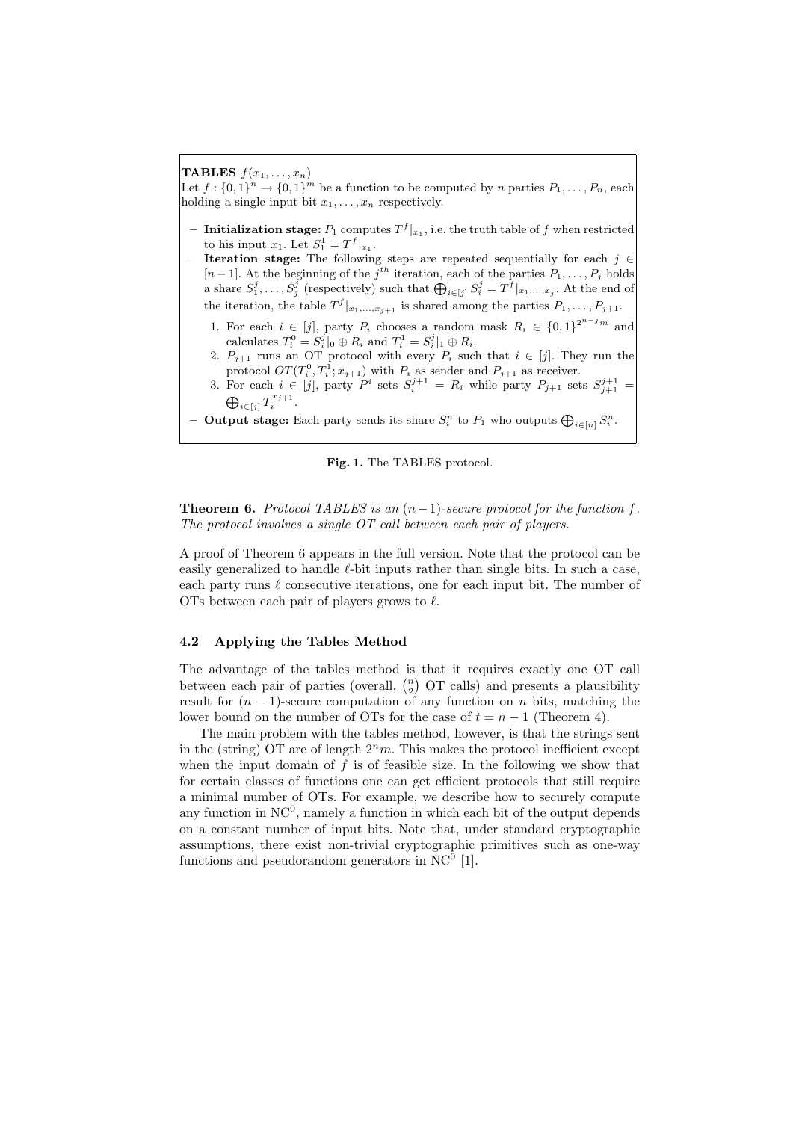**TABLES**  $f(x_1, \ldots, x_n)$ Let  $f: \{0,1\}^n \to \{0,1\}^m$  be a function to be computed by n parties  $P_1, \ldots, P_n$ , each holding a single input bit  $x_1, \ldots, x_n$  respectively. - Initialization stage:  $P_1$  computes  $T^f|_{x_1}$ , i.e. the truth table of f when restricted to his input  $x_1$ . Let  $S_1^1 = T^f|_{x_1}$ . – Iteration stage: The following steps are repeated sequentially for each j ∈ [n − 1]. At the beginning of the j<sup>th</sup> iteration, each of the parties  $P_1, \ldots, P_j$  holds a share  $S_1^j, \ldots, S_j^j$  (respectively) such that  $\bigoplus_{i \in [j]} S_i^j = T^f|_{x_1, \ldots, x_j}$ . At the end of the iteration, the table  $T^f|_{x_1,...,x_{j+1}}$  is shared among the parties  $P_1,...,P_{j+1}$ . 1. For each  $i \in [j]$ , party  $P_i$  chooses a random mask  $R_i \in \{0,1\}^{2^{n-j}m}$  and calculates  $T_i^0 = S_i^j|_0 \oplus R_i$  and  $T_i^1 = S_i^j|_1 \oplus R_i$ . 2.  $P_{j+1}$  runs an OT protocol with every  $P_i$  such that  $i \in [j]$ . They run the protocol  $OT(T_i^0, T_i^1; x_{j+1})$  with  $P_i$  as sender and  $P_{j+1}$  as receiver. 3. For each  $i \in [j]$ , party  $P^i$  sets  $S_i^{j+1} = R_i$  while party  $P_{j+1}$  sets  $S_{j+1}^{j+1} =$  $\bigoplus_{i\in[j]}T_i^{x_{j+1}}.$ 

- Output stage: Each party sends its share  $S_i^n$  to  $P_1$  who outputs  $\bigoplus_{i \in [n]} S_i^n$ .



**Theorem 6.** Protocol TABLES is an  $(n-1)$ -secure protocol for the function f. The protocol involves a single OT call between each pair of players.

A proof of Theorem 6 appears in the full version. Note that the protocol can be easily generalized to handle  $\ell$ -bit inputs rather than single bits. In such a case, each party runs  $\ell$  consecutive iterations, one for each input bit. The number of OTs between each pair of players grows to  $\ell$ .

#### 4.2 Applying the Tables Method

The advantage of the tables method is that it requires exactly one OT call between each pair of parties (overall,  $\binom{n}{2}$ ) OT calls) and presents a plausibility result for  $(n-1)$ -secure computation of any function on n bits, matching the lower bound on the number of OTs for the case of  $t = n - 1$  (Theorem 4).

The main problem with the tables method, however, is that the strings sent in the (string) OT are of length  $2<sup>n</sup>m$ . This makes the protocol inefficient except when the input domain of  $f$  is of feasible size. In the following we show that for certain classes of functions one can get efficient protocols that still require a minimal number of OTs. For example, we describe how to securely compute any function in  $NC^0$ , namely a function in which each bit of the output depends on a constant number of input bits. Note that, under standard cryptographic assumptions, there exist non-trivial cryptographic primitives such as one-way functions and pseudorandom generators in  $NC<sup>0</sup>$  [1].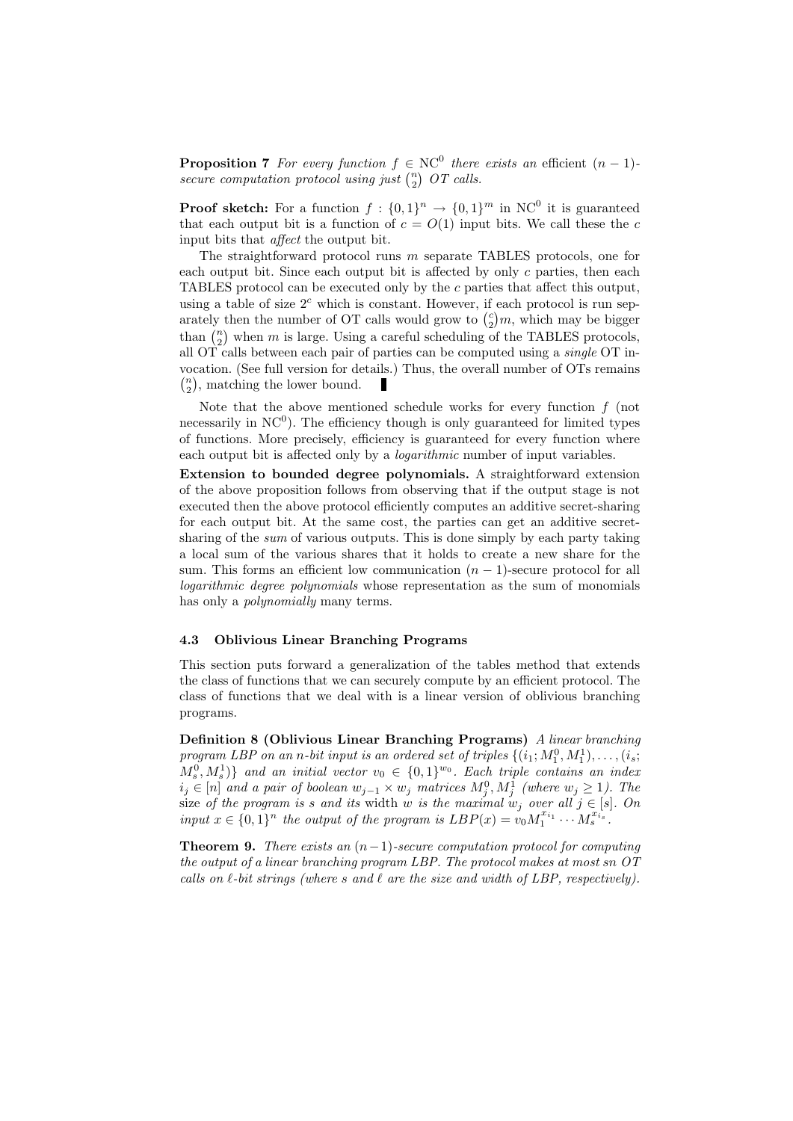**Proposition 7** For every function  $f \in NC^0$  there exists an efficient  $(n-1)$ secure computation protocol using just  $\binom{n}{2}$  OT calls.

**Proof sketch:** For a function  $f: \{0,1\}^n \to \{0,1\}^m$  in NC<sup>0</sup> it is guaranteed that each output bit is a function of  $c = O(1)$  input bits. We call these the c input bits that affect the output bit.

The straightforward protocol runs m separate TABLES protocols, one for each output bit. Since each output bit is affected by only  $c$  parties, then each TABLES protocol can be executed only by the c parties that affect this output, using a table of size  $2<sup>c</sup>$  which is constant. However, if each protocol is run separately then the number of OT calls would grow to  $\binom{c}{2}m$ , which may be bigger than  $\binom{n}{2}$  when m is large. Using a careful scheduling of the TABLES protocols, all OT calls between each pair of parties can be computed using a single OT invocation. (See full version for details.) Thus, the overall number of OTs remains  $\binom{n}{2}$ , matching the lower bound.  $\mathcal{L}$ 

Note that the above mentioned schedule works for every function  $f$  (not necessarily in  $NC<sup>0</sup>$ ). The efficiency though is only guaranteed for limited types of functions. More precisely, efficiency is guaranteed for every function where each output bit is affected only by a *logarithmic* number of input variables.

Extension to bounded degree polynomials. A straightforward extension of the above proposition follows from observing that if the output stage is not executed then the above protocol efficiently computes an additive secret-sharing for each output bit. At the same cost, the parties can get an additive secretsharing of the *sum* of various outputs. This is done simply by each party taking a local sum of the various shares that it holds to create a new share for the sum. This forms an efficient low communication  $(n - 1)$ -secure protocol for all logarithmic degree polynomials whose representation as the sum of monomials has only a *polynomially* many terms.

### 4.3 Oblivious Linear Branching Programs

This section puts forward a generalization of the tables method that extends the class of functions that we can securely compute by an efficient protocol. The class of functions that we deal with is a linear version of oblivious branching programs.

Definition 8 (Oblivious Linear Branching Programs) A linear branching program LBP on an n-bit input is an ordered set of triples  $\{(i_1; M_1^0, M_1^1), \ldots, (i_s;$  $(M_s^0, M_s^1)$  and an initial vector  $v_0 \in \{0, 1\}^{w_0}$ . Each triple contains an index  $i_j \in [n]$  and a pair of boolean  $w_{j-1} \times w_j$  matrices  $M_j^0, M_j^1$  (where  $w_j \ge 1$ ). The size of the program is s and its width w is the maximal  $w_j$  over all  $j \in [s]$ . On input  $x \in \{0,1\}^n$  the output of the program is  $LBP(x) = v_0 M_1^{x_{i_1}} \cdots M_s^{x_{i_s}}$ .

**Theorem 9.** There exists an  $(n-1)$ -secure computation protocol for computing the output of a linear branching program LBP. The protocol makes at most sn OT calls on  $\ell$ -bit strings (where s and  $\ell$  are the size and width of LBP, respectively).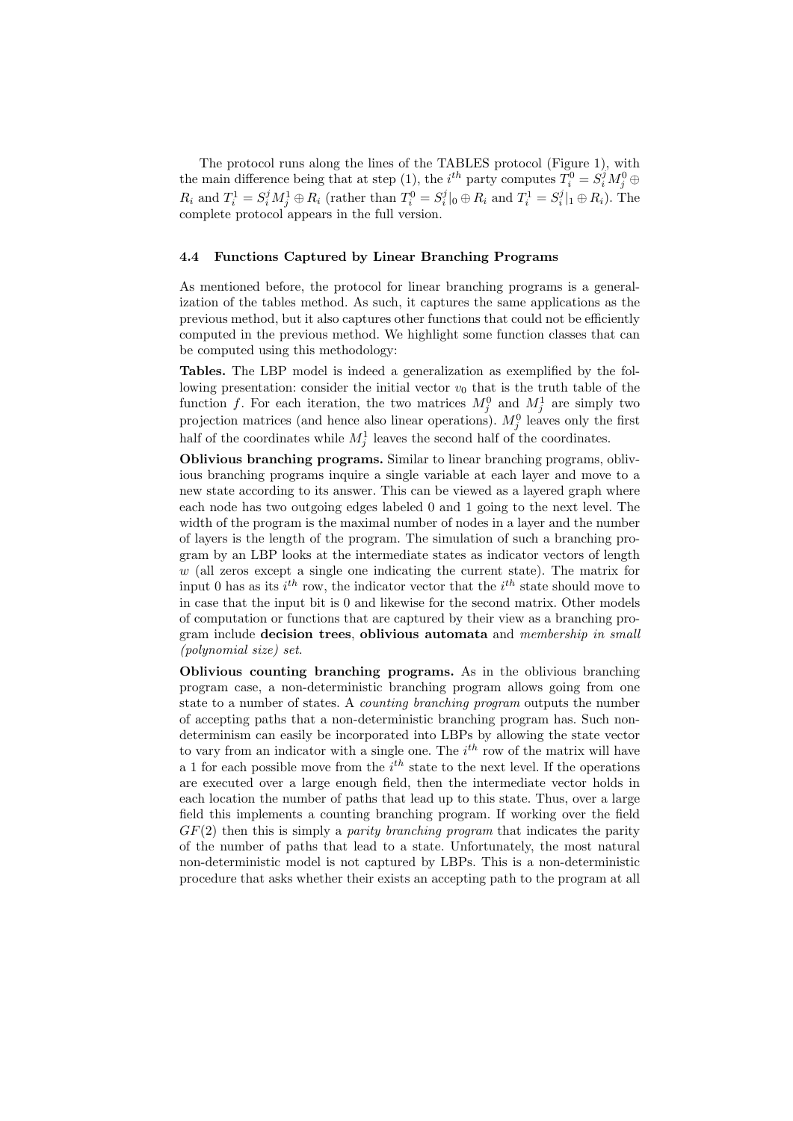The protocol runs along the lines of the TABLES protocol (Figure 1), with the main difference being that at step (1), the  $i^{th}$  party computes  $T_i^0 = S_i^j M_j^0 \oplus$  $R_i$  and  $T_i^1 = S_i^j M_j^1 \oplus R_i$  (rather than  $T_i^0 = S_i^j|_0 \oplus R_i$  and  $T_i^1 = S_i^j|_1 \oplus R_i$ ). The complete protocol appears in the full version.

#### 4.4 Functions Captured by Linear Branching Programs

As mentioned before, the protocol for linear branching programs is a generalization of the tables method. As such, it captures the same applications as the previous method, but it also captures other functions that could not be efficiently computed in the previous method. We highlight some function classes that can be computed using this methodology:

Tables. The LBP model is indeed a generalization as exemplified by the following presentation: consider the initial vector  $v_0$  that is the truth table of the function f. For each iteration, the two matrices  $M_j^0$  and  $M_j^1$  are simply two projection matrices (and hence also linear operations).  $M_j^0$  leaves only the first half of the coordinates while  $M_j^1$  leaves the second half of the coordinates.

Oblivious branching programs. Similar to linear branching programs, oblivious branching programs inquire a single variable at each layer and move to a new state according to its answer. This can be viewed as a layered graph where each node has two outgoing edges labeled 0 and 1 going to the next level. The width of the program is the maximal number of nodes in a layer and the number of layers is the length of the program. The simulation of such a branching program by an LBP looks at the intermediate states as indicator vectors of length  $w$  (all zeros except a single one indicating the current state). The matrix for input 0 has as its  $i^{th}$  row, the indicator vector that the  $i^{th}$  state should move to in case that the input bit is 0 and likewise for the second matrix. Other models of computation or functions that are captured by their view as a branching program include decision trees, oblivious automata and *membership in small* (polynomial size) set.

Oblivious counting branching programs. As in the oblivious branching program case, a non-deterministic branching program allows going from one state to a number of states. A counting branching program outputs the number of accepting paths that a non-deterministic branching program has. Such nondeterminism can easily be incorporated into LBPs by allowing the state vector to vary from an indicator with a single one. The  $i^{th}$  row of the matrix will have a 1 for each possible move from the  $i^{th}$  state to the next level. If the operations are executed over a large enough field, then the intermediate vector holds in each location the number of paths that lead up to this state. Thus, over a large field this implements a counting branching program. If working over the field  $GF(2)$  then this is simply a *parity branching program* that indicates the parity of the number of paths that lead to a state. Unfortunately, the most natural non-deterministic model is not captured by LBPs. This is a non-deterministic procedure that asks whether their exists an accepting path to the program at all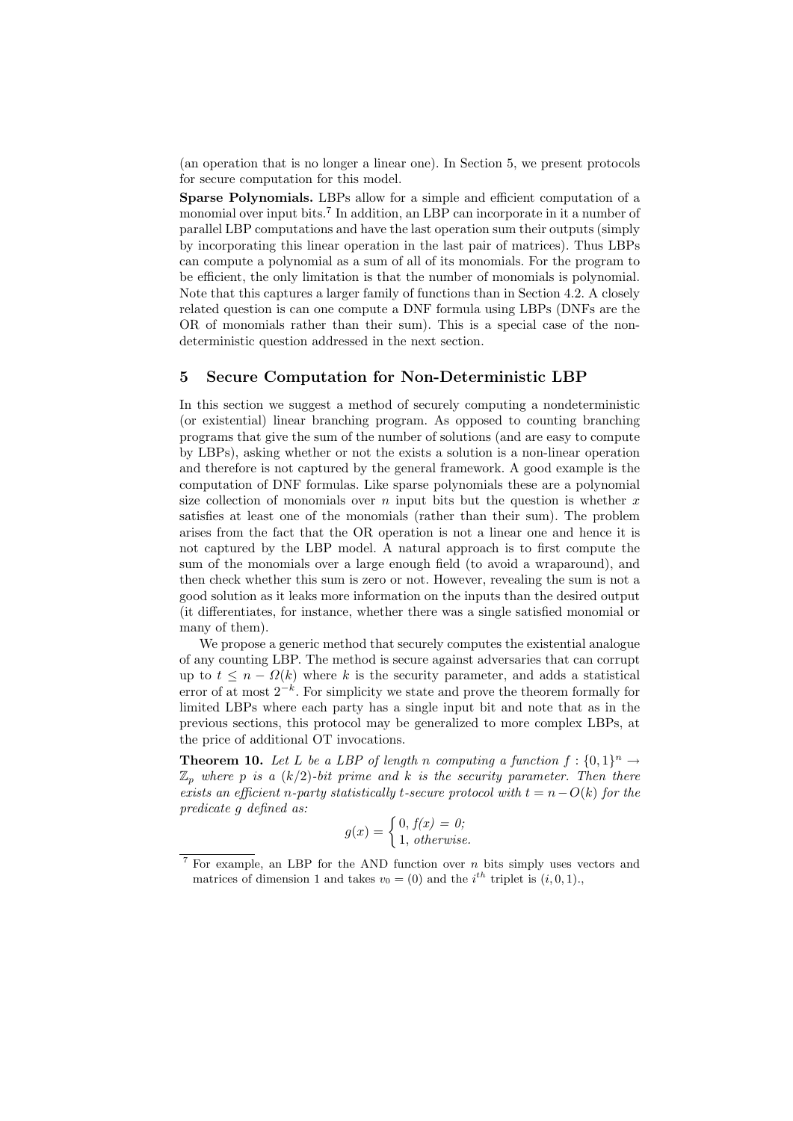(an operation that is no longer a linear one). In Section 5, we present protocols for secure computation for this model.

Sparse Polynomials. LBPs allow for a simple and efficient computation of a monomial over input bits.<sup>7</sup> In addition, an LBP can incorporate in it a number of parallel LBP computations and have the last operation sum their outputs (simply by incorporating this linear operation in the last pair of matrices). Thus LBPs can compute a polynomial as a sum of all of its monomials. For the program to be efficient, the only limitation is that the number of monomials is polynomial. Note that this captures a larger family of functions than in Section 4.2. A closely related question is can one compute a DNF formula using LBPs (DNFs are the OR of monomials rather than their sum). This is a special case of the nondeterministic question addressed in the next section.

## 5 Secure Computation for Non-Deterministic LBP

In this section we suggest a method of securely computing a nondeterministic (or existential) linear branching program. As opposed to counting branching programs that give the sum of the number of solutions (and are easy to compute by LBPs), asking whether or not the exists a solution is a non-linear operation and therefore is not captured by the general framework. A good example is the computation of DNF formulas. Like sparse polynomials these are a polynomial size collection of monomials over  $n$  input bits but the question is whether  $x$ satisfies at least one of the monomials (rather than their sum). The problem arises from the fact that the OR operation is not a linear one and hence it is not captured by the LBP model. A natural approach is to first compute the sum of the monomials over a large enough field (to avoid a wraparound), and then check whether this sum is zero or not. However, revealing the sum is not a good solution as it leaks more information on the inputs than the desired output (it differentiates, for instance, whether there was a single satisfied monomial or many of them).

We propose a generic method that securely computes the existential analogue of any counting LBP. The method is secure against adversaries that can corrupt up to  $t \leq n - \Omega(k)$  where k is the security parameter, and adds a statistical error of at most  $2^{-k}$ . For simplicity we state and prove the theorem formally for limited LBPs where each party has a single input bit and note that as in the previous sections, this protocol may be generalized to more complex LBPs, at the price of additional OT invocations.

**Theorem 10.** Let L be a LBP of length n computing a function  $f: \{0,1\}^n \to$  $\mathbb{Z}_p$  where p is a  $(k/2)$ -bit prime and k is the security parameter. Then there exists an efficient n-party statistically t-secure protocol with  $t = n - O(k)$  for the predicate g defined as:

$$
g(x) = \begin{cases} 0, f(x) = 0; \\ 1, \text{ otherwise.} \end{cases}
$$

 $7$  For example, an LBP for the AND function over  $n$  bits simply uses vectors and matrices of dimension 1 and takes  $v_0 = (0)$  and the i<sup>th</sup> triplet is  $(i, 0, 1)$ .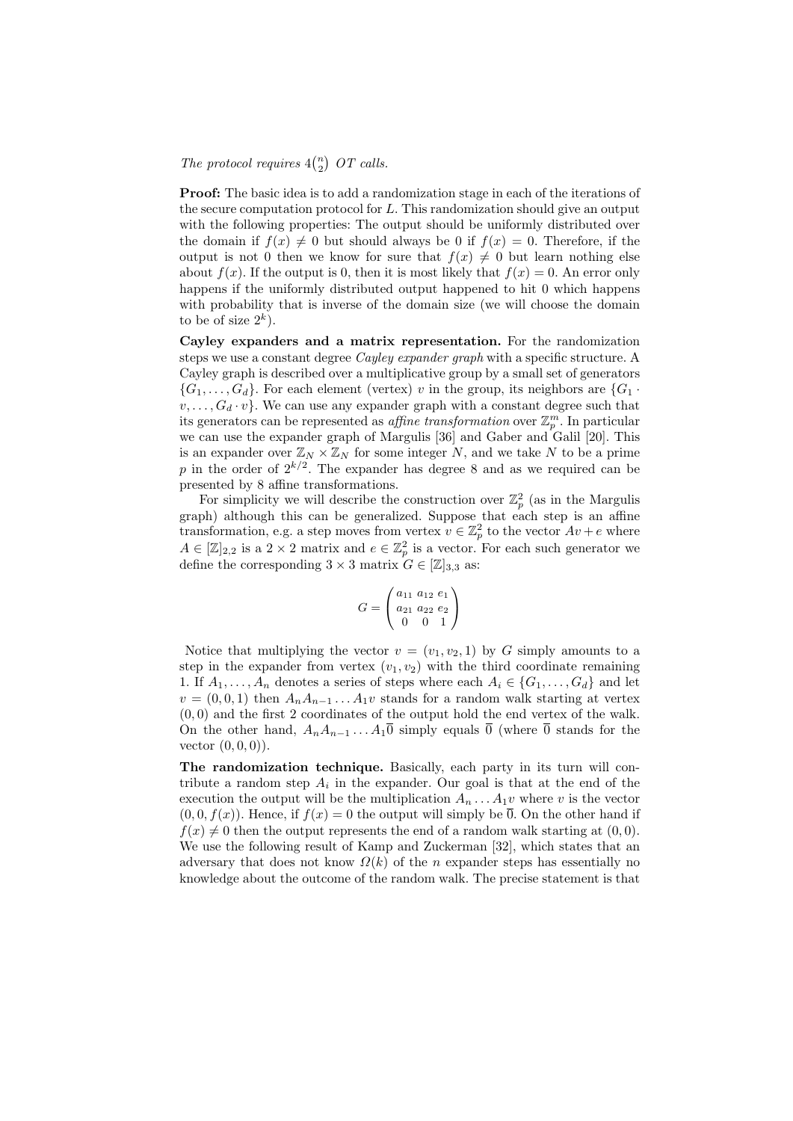The protocol requires  $4\binom{n}{2}$  OT calls.

**Proof:** The basic idea is to add a randomization stage in each of the iterations of the secure computation protocol for  $L$ . This randomization should give an output with the following properties: The output should be uniformly distributed over the domain if  $f(x) \neq 0$  but should always be 0 if  $f(x) = 0$ . Therefore, if the output is not 0 then we know for sure that  $f(x) \neq 0$  but learn nothing else about  $f(x)$ . If the output is 0, then it is most likely that  $f(x) = 0$ . An error only happens if the uniformly distributed output happened to hit 0 which happens with probability that is inverse of the domain size (we will choose the domain to be of size  $2^k$ ).

Cayley expanders and a matrix representation. For the randomization steps we use a constant degree *Cayley expander graph* with a specific structure. A Cayley graph is described over a multiplicative group by a small set of generators  ${G_1, \ldots, G_d}$ . For each element (vertex) v in the group, its neighbors are  ${G_1 \cdot G_2}$  $v, \ldots, G_d \cdot v$ . We can use any expander graph with a constant degree such that its generators can be represented as *affine transformation* over  $\mathbb{Z}_p^m$ . In particular we can use the expander graph of Margulis [36] and Gaber and Galil [20]. This is an expander over  $\mathbb{Z}_N \times \mathbb{Z}_N$  for some integer N, and we take N to be a prime p in the order of  $2^{k/2}$ . The expander has degree 8 and as we required can be presented by 8 affine transformations.

For simplicity we will describe the construction over  $\mathbb{Z}_p^2$  (as in the Margulis graph) although this can be generalized. Suppose that each step is an affine transformation, e.g. a step moves from vertex  $v \in \mathbb{Z}_p^2$  to the vector  $Av + e$  where  $A \in [\mathbb{Z}]_{2,2}$  is a  $2 \times 2$  matrix and  $e \in \mathbb{Z}_p^2$  is a vector. For each such generator we define the corresponding  $3 \times 3$  matrix  $G \in [\mathbb{Z}]_{3,3}$  as:

$$
G = \begin{pmatrix} a_{11} & a_{12} & e_1 \\ a_{21} & a_{22} & e_2 \\ 0 & 0 & 1 \end{pmatrix}
$$

Notice that multiplying the vector  $v = (v_1, v_2, 1)$  by G simply amounts to a step in the expander from vertex  $(v_1, v_2)$  with the third coordinate remaining 1. If  $A_1, \ldots, A_n$  denotes a series of steps where each  $A_i \in \{G_1, \ldots, G_d\}$  and let  $v = (0, 0, 1)$  then  $A_n A_{n-1} \dots A_1 v$  stands for a random walk starting at vertex  $(0, 0)$  and the first 2 coordinates of the output hold the end vertex of the walk. On the other hand,  $A_nA_{n-1} \ldots A_1\overline{0}$  simply equals  $\overline{0}$  (where  $\overline{0}$  stands for the vector  $(0, 0, 0)$ .

The randomization technique. Basically, each party in its turn will contribute a random step  $A_i$  in the expander. Our goal is that at the end of the execution the output will be the multiplication  $A_n \dots A_1 v$  where v is the vector  $(0, 0, f(x))$ . Hence, if  $f(x) = 0$  the output will simply be  $\overline{0}$ . On the other hand if  $f(x) \neq 0$  then the output represents the end of a random walk starting at  $(0, 0)$ . We use the following result of Kamp and Zuckerman [32], which states that an adversary that does not know  $\Omega(k)$  of the n expander steps has essentially no knowledge about the outcome of the random walk. The precise statement is that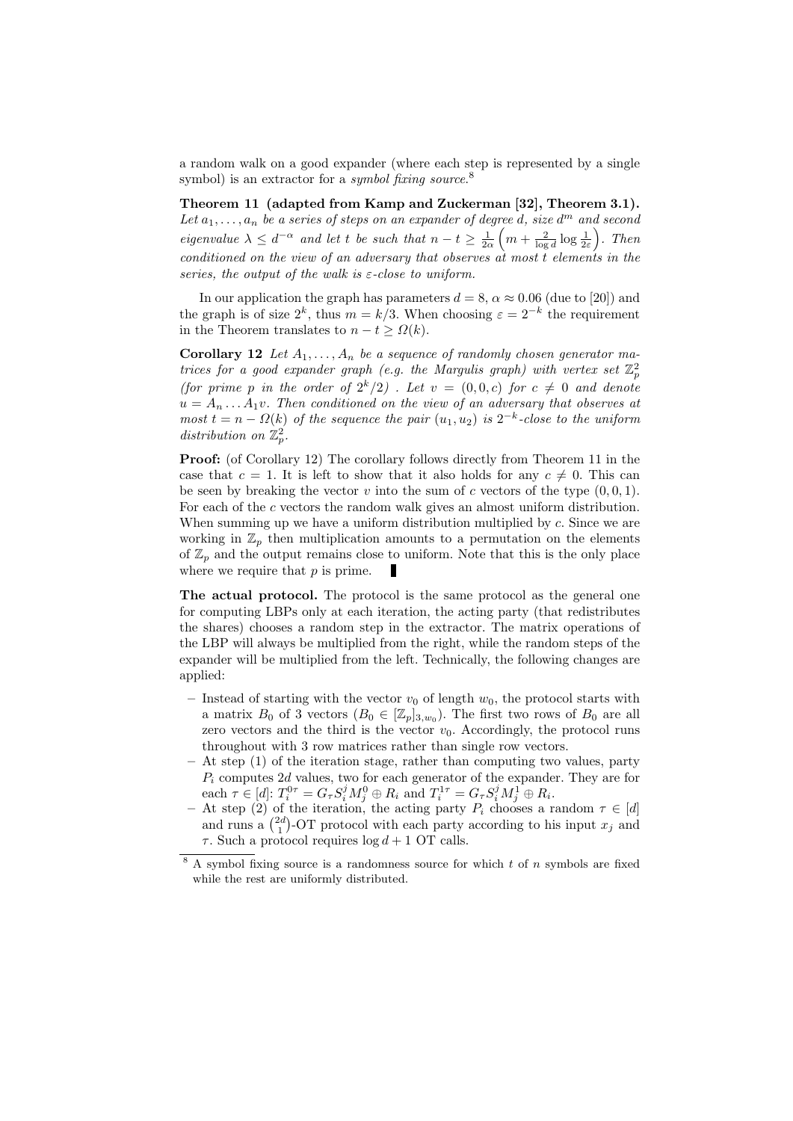a random walk on a good expander (where each step is represented by a single symbol) is an extractor for a symbol fixing source.<sup>8</sup>

Theorem 11 (adapted from Kamp and Zuckerman [32], Theorem 3.1). Let  $a_1, \ldots, a_n$  be a series of steps on an expander of degree d, size  $d^m$  and second eigenvalue  $\lambda \leq d^{-\alpha}$  and let t be such that  $n-t \geq \frac{1}{2\alpha} \left( m + \frac{2}{\log d} \log \frac{1}{2\varepsilon} \right)$ . Then conditioned on the view of an adversary that observes at most t elements in the series, the output of the walk is  $\varepsilon$ -close to uniform.

In our application the graph has parameters  $d = 8$ ,  $\alpha \approx 0.06$  (due to [20]) and the graph is of size  $2^k$ , thus  $m = k/3$ . When choosing  $\varepsilon = 2^{-k}$  the requirement in the Theorem translates to  $n - t \geq \Omega(k)$ .

**Corollary 12** Let  $A_1, \ldots, A_n$  be a sequence of randomly chosen generator matrices for a good expander graph (e.g. the Margulis graph) with vertex set  $\mathbb{Z}_p^2$ (for prime p in the order of  $2^k/2$ ). Let  $v = (0,0,c)$  for  $c \neq 0$  and denote  $u = A_n \dots A_1 v$ . Then conditioned on the view of an adversary that observes at most  $t = n - \Omega(k)$  of the sequence the pair  $(u_1, u_2)$  is  $2^{-k}$ -close to the uniform distribution on  $\mathbb{Z}_p^2$ .

Proof: (of Corollary 12) The corollary follows directly from Theorem 11 in the case that  $c = 1$ . It is left to show that it also holds for any  $c \neq 0$ . This can be seen by breaking the vector v into the sum of c vectors of the type  $(0, 0, 1)$ . For each of the c vectors the random walk gives an almost uniform distribution. When summing up we have a uniform distribution multiplied by c. Since we are working in  $\mathbb{Z}_p$  then multiplication amounts to a permutation on the elements of  $\mathbb{Z}_p$  and the output remains close to uniform. Note that this is the only place where we require that  $p$  is prime. a ka

The actual protocol. The protocol is the same protocol as the general one for computing LBPs only at each iteration, the acting party (that redistributes the shares) chooses a random step in the extractor. The matrix operations of the LBP will always be multiplied from the right, while the random steps of the expander will be multiplied from the left. Technically, the following changes are applied:

- Instead of starting with the vector  $v_0$  of length  $w_0$ , the protocol starts with a matrix  $B_0$  of 3 vectors  $(B_0 \in [\mathbb{Z}_p]_{3,w_0})$ . The first two rows of  $B_0$  are all zero vectors and the third is the vector  $v_0$ . Accordingly, the protocol runs throughout with 3 row matrices rather than single row vectors.
- At step (1) of the iteration stage, rather than computing two values, party  $P_i$  computes 2d values, two for each generator of the expander. They are for each  $\tau \in [d]$ :  $T_i^{0\tau} = G_\tau S_i^j M_j^0 \oplus R_i$  and  $T_i^{1\tau} = G_\tau S_i^j M_j^1 \oplus R_i$ .
- At step (2) of the iteration, the acting party  $P_i$  chooses a random  $\tau \in [d]$ and runs a  $\binom{2d}{1}$ -OT protocol with each party according to his input  $x_j$  and  $\tau$ . Such a protocol requires  $\log d + 1$  OT calls.

 $8$  A symbol fixing source is a randomness source for which t of n symbols are fixed while the rest are uniformly distributed.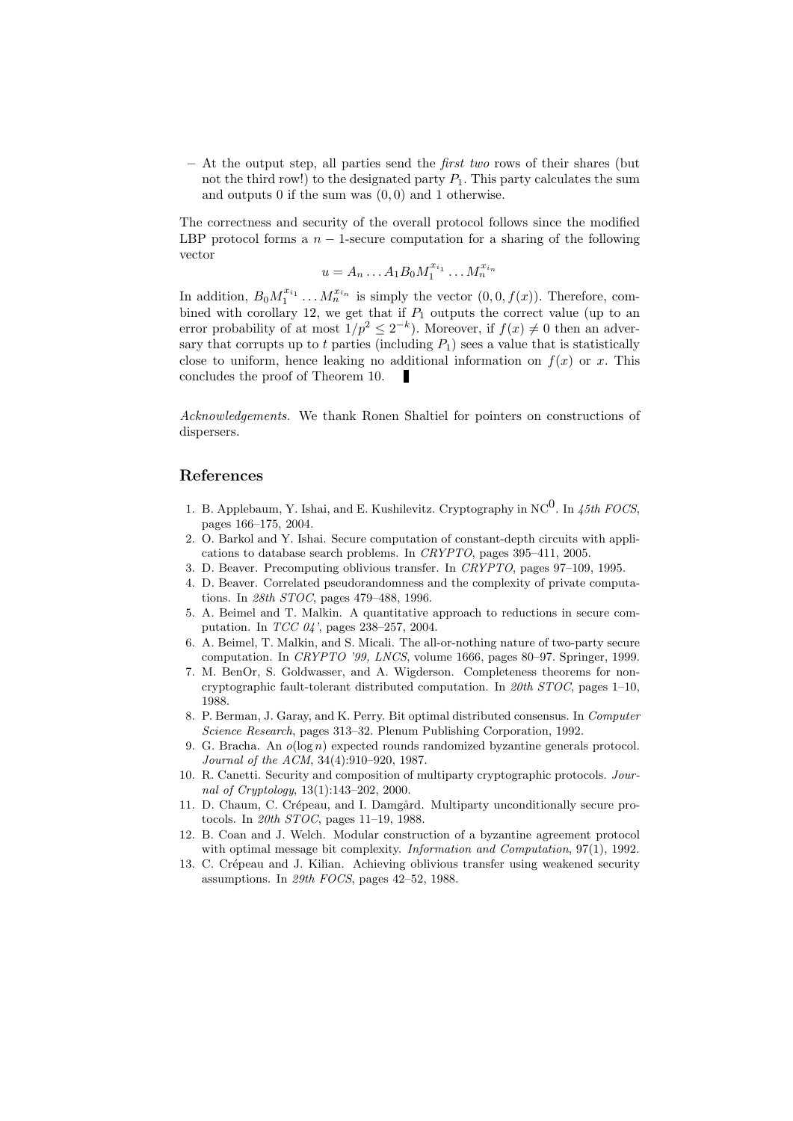$-$  At the output step, all parties send the *first two* rows of their shares (but not the third row!) to the designated party  $P_1$ . This party calculates the sum and outputs 0 if the sum was  $(0, 0)$  and 1 otherwise.

The correctness and security of the overall protocol follows since the modified LBP protocol forms a  $n-1$ -secure computation for a sharing of the following vector

$$
u=A_n\ldots A_1B_0M_1^{x_{i_1}}\ldots M_n^{x_{i_n}}
$$

In addition,  $B_0 M_1^{x_{i_1}} \dots M_n^{x_{i_n}}$  is simply the vector  $(0,0,f(x))$ . Therefore, combined with corollary 12, we get that if  $P_1$  outputs the correct value (up to an error probability of at most  $1/p^2 \leq 2^{-k}$ ). Moreover, if  $f(x) \neq 0$  then an adversary that corrupts up to t parties (including  $P_1$ ) sees a value that is statistically close to uniform, hence leaking no additional information on  $f(x)$  or x. This concludes the proof of Theorem 10.

Acknowledgements. We thank Ronen Shaltiel for pointers on constructions of dispersers.

# References

- 1. B. Applebaum, Y. Ishai, and E. Kushilevitz. Cryptography in NC<sup>0</sup>. In 45th FOCS, pages 166–175, 2004.
- 2. O. Barkol and Y. Ishai. Secure computation of constant-depth circuits with applications to database search problems. In CRYPTO, pages 395–411, 2005.
- 3. D. Beaver. Precomputing oblivious transfer. In CRYPTO, pages 97–109, 1995.
- 4. D. Beaver. Correlated pseudorandomness and the complexity of private computations. In 28th STOC, pages 479–488, 1996.
- 5. A. Beimel and T. Malkin. A quantitative approach to reductions in secure computation. In TCC 04', pages 238–257, 2004.
- 6. A. Beimel, T. Malkin, and S. Micali. The all-or-nothing nature of two-party secure computation. In CRYPTO '99, LNCS, volume 1666, pages 80–97. Springer, 1999.
- 7. M. BenOr, S. Goldwasser, and A. Wigderson. Completeness theorems for noncryptographic fault-tolerant distributed computation. In 20th STOC, pages 1–10, 1988.
- 8. P. Berman, J. Garay, and K. Perry. Bit optimal distributed consensus. In Computer Science Research, pages 313–32. Plenum Publishing Corporation, 1992.
- 9. G. Bracha. An  $o(\log n)$  expected rounds randomized byzantine generals protocol. Journal of the ACM, 34(4):910–920, 1987.
- 10. R. Canetti. Security and composition of multiparty cryptographic protocols. Journal of Cryptology, 13(1):143–202, 2000.
- 11. D. Chaum, C. Crépeau, and I. Damgård. Multiparty unconditionally secure protocols. In 20th STOC, pages 11–19, 1988.
- 12. B. Coan and J. Welch. Modular construction of a byzantine agreement protocol with optimal message bit complexity. *Information and Computation*, 97(1), 1992.
- 13. C. Crépeau and J. Kilian. Achieving oblivious transfer using weakened security assumptions. In 29th FOCS, pages 42–52, 1988.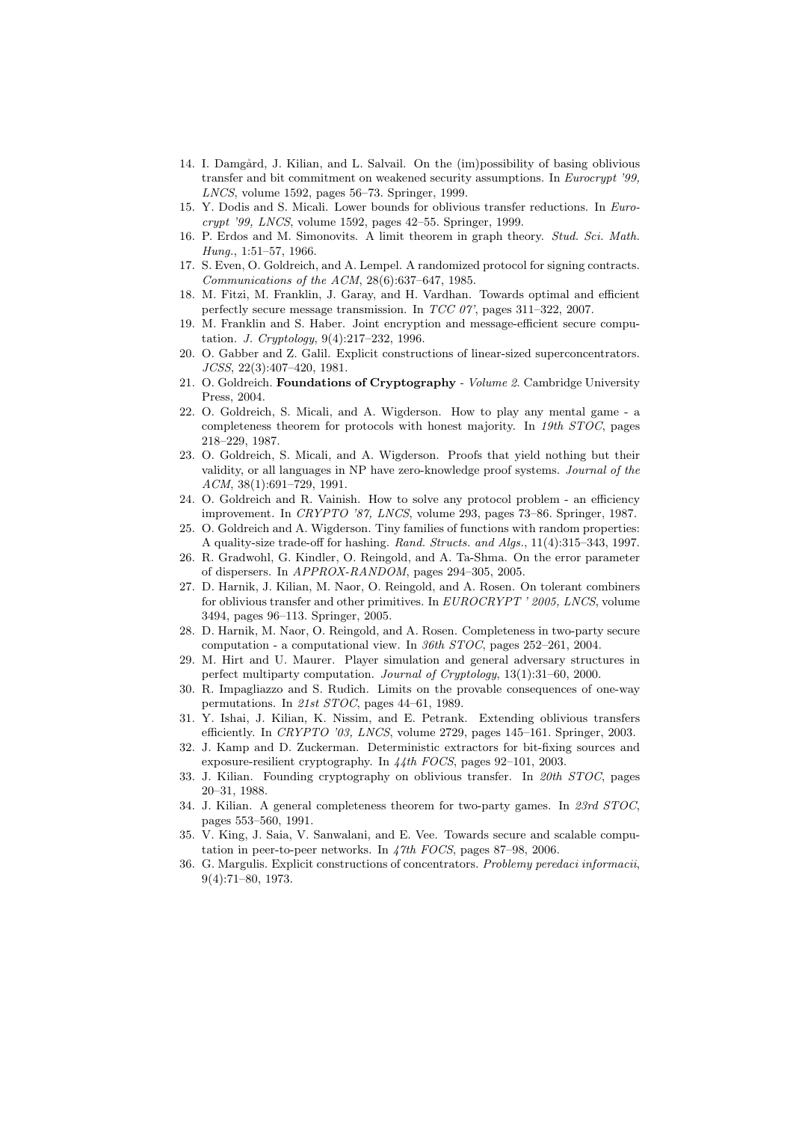- 14. I. Damgård, J. Kilian, and L. Salvail. On the (im)possibility of basing oblivious transfer and bit commitment on weakened security assumptions. In Eurocrypt '99, LNCS, volume 1592, pages 56–73. Springer, 1999.
- 15. Y. Dodis and S. Micali. Lower bounds for oblivious transfer reductions. In Eurocrypt '99, LNCS, volume 1592, pages 42–55. Springer, 1999.
- 16. P. Erdos and M. Simonovits. A limit theorem in graph theory. Stud. Sci. Math. Hung., 1:51–57, 1966.
- 17. S. Even, O. Goldreich, and A. Lempel. A randomized protocol for signing contracts. Communications of the ACM, 28(6):637–647, 1985.
- 18. M. Fitzi, M. Franklin, J. Garay, and H. Vardhan. Towards optimal and efficient perfectly secure message transmission. In TCC 07', pages 311–322, 2007.
- 19. M. Franklin and S. Haber. Joint encryption and message-efficient secure computation. J. Cryptology, 9(4):217–232, 1996.
- 20. O. Gabber and Z. Galil. Explicit constructions of linear-sized superconcentrators. JCSS, 22(3):407–420, 1981.
- 21. O. Goldreich. Foundations of Cryptography Volume 2. Cambridge University Press, 2004.
- 22. O. Goldreich, S. Micali, and A. Wigderson. How to play any mental game a completeness theorem for protocols with honest majority. In 19th STOC, pages 218–229, 1987.
- 23. O. Goldreich, S. Micali, and A. Wigderson. Proofs that yield nothing but their validity, or all languages in NP have zero-knowledge proof systems. Journal of the ACM, 38(1):691–729, 1991.
- 24. O. Goldreich and R. Vainish. How to solve any protocol problem an efficiency improvement. In CRYPTO '87, LNCS, volume 293, pages 73–86. Springer, 1987.
- 25. O. Goldreich and A. Wigderson. Tiny families of functions with random properties: A quality-size trade-off for hashing. Rand. Structs. and Algs., 11(4):315–343, 1997.
- 26. R. Gradwohl, G. Kindler, O. Reingold, and A. Ta-Shma. On the error parameter of dispersers. In APPROX-RANDOM, pages 294–305, 2005.
- 27. D. Harnik, J. Kilian, M. Naor, O. Reingold, and A. Rosen. On tolerant combiners for oblivious transfer and other primitives. In EUROCRYPT ' 2005, LNCS, volume 3494, pages 96–113. Springer, 2005.
- 28. D. Harnik, M. Naor, O. Reingold, and A. Rosen. Completeness in two-party secure computation - a computational view. In 36th STOC, pages 252–261, 2004.
- 29. M. Hirt and U. Maurer. Player simulation and general adversary structures in perfect multiparty computation. Journal of Cryptology, 13(1):31–60, 2000.
- 30. R. Impagliazzo and S. Rudich. Limits on the provable consequences of one-way permutations. In 21st STOC, pages 44–61, 1989.
- 31. Y. Ishai, J. Kilian, K. Nissim, and E. Petrank. Extending oblivious transfers efficiently. In CRYPTO '03, LNCS, volume 2729, pages 145–161. Springer, 2003.
- 32. J. Kamp and D. Zuckerman. Deterministic extractors for bit-fixing sources and exposure-resilient cryptography. In  $44th$  FOCS, pages 92–101, 2003.
- 33. J. Kilian. Founding cryptography on oblivious transfer. In 20th STOC, pages 20–31, 1988.
- 34. J. Kilian. A general completeness theorem for two-party games. In 23rd STOC, pages 553–560, 1991.
- 35. V. King, J. Saia, V. Sanwalani, and E. Vee. Towards secure and scalable computation in peer-to-peer networks. In 47th FOCS, pages 87–98, 2006.
- 36. G. Margulis. Explicit constructions of concentrators. Problemy peredaci informacii, 9(4):71–80, 1973.